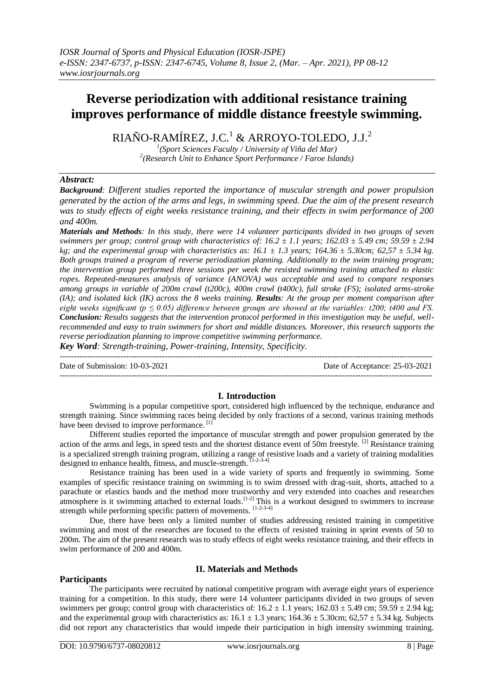# **Reverse periodization with additional resistance training improves performance of middle distance freestyle swimming.**

RIAÑO-RAMÍREZ, J.C.<sup>1</sup> & ARROYO-TOLEDO, J.J.<sup>2</sup>

*1 (Sport Sciences Faculty / University of Viña del Mar) 2 (Research Unit to Enhance Sport Performance / Faroe Islands)* 

## *Abstract:*

*Background: Different studies reported the importance of muscular strength and power propulsion generated by the action of the arms and legs, in swimming speed. Due the aim of the present research was to study effects of eight weeks resistance training, and their effects in swim performance of 200 and 400m.*

*Materials and Methods: In this study, there were 14 volunteer participants divided in two groups of seven swimmers per group; control group with characteristics of: 16.2 ± 1.1 years; 162.03 ± 5.49 cm; 59.59 ± 2.94 kg; and the experimental group with characteristics as: 16.1*  $\pm$  *1.3 years; 164.36*  $\pm$  *5.30cm; 62.57*  $\pm$  *5.34 kg. Both groups trained a program of reverse periodization planning. Additionally to the swim training program; the intervention group performed three sessions per week the resisted swimming training attached to elastic ropes. Repeated-measures analysis of variance (ANOVA) was acceptable and used to compare responses among groups in variable of 200m crawl (t200c), 400m crawl (t400c), full stroke (FS); isolated arms-stroke (IA); and isolated kick (IK) across the 8 weeks training. Results: At the group per moment comparison after eight weeks significant (p*  $\leq$  *0.05) difference between groups are showed at the variables: t200; t400 and FS. Conclusion: Results suggests that the intervention protocol performed in this investigation may be useful, wellrecommended and easy to train swimmers for short and middle distances. Moreover, this research supports the reverse periodization planning to improve competitive swimming performance.*

*Key Word: Strength-training, Power-training, Intensity, Specificity.*

--------------------------------------------------------------------------------------------------------------------------------------- Date of Submission: 10-03-2021 Date of Acceptance: 25-03-2021 ---------------------------------------------------------------------------------------------------------------------------------------

### **I. Introduction**

Swimming is a popular competitive sport, considered high influenced by the technique, endurance and strength training. Since swimming races being decided by only fractions of a second, various training methods have been devised to improve performance.<sup>[1]</sup>

Different studies reported the importance of muscular strength and power propulsion generated by the action of the arms and legs, in speed tests and the shortest distance event of 50m freestyle.  $^{[2]}$  Resistance training is a specialized strength training program, utilizing a range of resistive loads and a variety of training modalities designed to enhance health, fitness, and muscle-strength. [1-2-3-4]

Resistance training has been used in a wide variety of sports and frequently in swimming. Some examples of specific resistance training on swimming is to swim dressed with drag-suit, shorts, attached to a parachute or elastics bands and the method more trustworthy and very extended into coaches and researches atmosphere is it swimming attached to external loads.<sup>[1-2]</sup> This is a workout designed to swimmers to increase strength while performing specific pattern of movements. [1-2-3-4]

Due, there have been only a limited number of studies addressing resisted training in competitive swimming and most of the researches are focused to the effects of resisted training in sprint events of 50 to 200m. The aim of the present research was to study effects of eight weeks resistance training, and their effects in swim performance of 200 and 400m.

### **II. Materials and Methods**

### **Participants**

The participants were recruited by national competitive program with average eight years of experience training for a competition. In this study, there were 14 volunteer participants divided in two groups of seven swimmers per group; control group with characteristics of:  $16.2 \pm 1.1$  years;  $162.03 \pm 5.49$  cm;  $59.59 \pm 2.94$  kg; and the experimental group with characteristics as:  $16.1 \pm 1.3$  years;  $164.36 \pm 5.30$ cm;  $62.57 \pm 5.34$  kg. Subjects did not report any characteristics that would impede their participation in high intensity swimming training.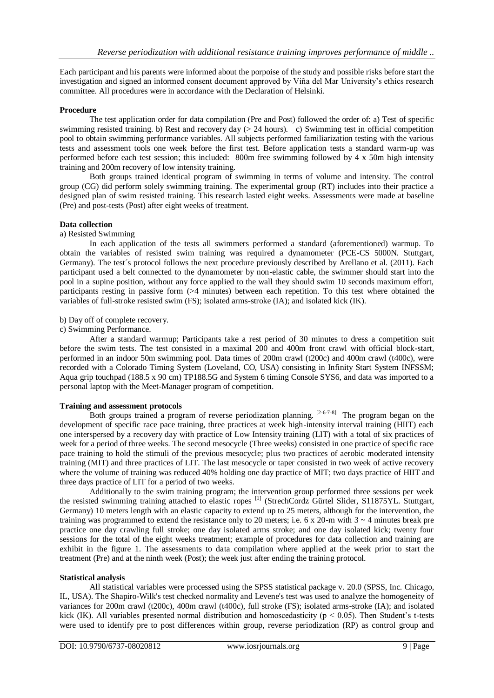Each participant and his parents were informed about the porpoise of the study and possible risks before start the investigation and signed an informed consent document approved by Viña del Mar University's ethics research committee. All procedures were in accordance with the Declaration of Helsinki.

### **Procedure**

The test application order for data compilation (Pre and Post) followed the order of: a) Test of specific swimming resisted training. b) Rest and recovery day (> 24 hours). c) Swimming test in official competition pool to obtain swimming performance variables. All subjects performed familiarization testing with the various tests and assessment tools one week before the first test. Before application tests a standard warm-up was performed before each test session; this included: 800m free swimming followed by 4 x 50m high intensity training and 200m recovery of low intensity training.

Both groups trained identical program of swimming in terms of volume and intensity. The control group (CG) did perform solely swimming training. The experimental group (RT) includes into their practice a designed plan of swim resisted training. This research lasted eight weeks. Assessments were made at baseline (Pre) and post-tests (Post) after eight weeks of treatment.

## **Data collection**

#### a) Resisted Swimming

In each application of the tests all swimmers performed a standard (aforementioned) warmup. To obtain the variables of resisted swim training was required a dynamometer (PCE-CS 5000N. Stuttgart, Germany). The test´s protocol follows the next procedure previously described by Arellano et al. (2011). Each participant used a belt connected to the dynamometer by non-elastic cable, the swimmer should start into the pool in a supine position, without any force applied to the wall they should swim 10 seconds maximum effort, participants resting in passive form (>4 minutes) between each repetition. To this test where obtained the variables of full-stroke resisted swim (FS); isolated arms-stroke (IA); and isolated kick (IK).

#### b) Day off of complete recovery.

#### c) Swimming Performance.

After a standard warmup; Participants take a rest period of 30 minutes to dress a competition suit before the swim tests. The test consisted in a maximal 200 and 400m front crawl with official block-start, performed in an indoor 50m swimming pool. Data times of 200m crawl (t200c) and 400m crawl (t400c), were recorded with a Colorado Timing System (Loveland, CO, USA) consisting in Infinity Start System INFSSM; Aqua grip touchpad (188.5 x 90 cm) TP188.5G and System 6 timing Console SYS6, and data was imported to a personal laptop with the Meet-Manager program of competition.

### **Training and assessment protocols**

Both groups trained a program of reverse periodization planning.  $[2-6-7-8]$  The program began on the development of specific race pace training, three practices at week high-intensity interval training (HIIT) each one interspersed by a recovery day with practice of Low Intensity training (LIT) with a total of six practices of week for a period of three weeks. The second mesocycle (Three weeks) consisted in one practice of specific race pace training to hold the stimuli of the previous mesocycle; plus two practices of aerobic moderated intensity training (MIT) and three practices of LIT. The last mesocycle or taper consisted in two week of active recovery where the volume of training was reduced 40% holding one day practice of MIT; two days practice of HIIT and three days practice of LIT for a period of two weeks.

Additionally to the swim training program; the intervention group performed three sessions per week the resisted swimming training attached to elastic ropes<sup>[1]</sup> (StrechCordz Gürtel Slider, S11875YL. Stuttgart, Germany) 10 meters length with an elastic capacity to extend up to 25 meters, although for the intervention, the training was programmed to extend the resistance only to 20 meters; i.e. 6 x 20-m with  $3 \sim 4$  minutes break pre practice one day crawling full stroke; one day isolated arms stroke; and one day isolated kick; twenty four sessions for the total of the eight weeks treatment; example of procedures for data collection and training are exhibit in the figure 1. The assessments to data compilation where applied at the week prior to start the treatment (Pre) and at the ninth week (Post); the week just after ending the training protocol.

### **Statistical analysis**

All statistical variables were processed using the SPSS statistical package v. 20.0 (SPSS, Inc. Chicago, IL, USA). The Shapiro-Wilk's test checked normality and Levene's test was used to analyze the homogeneity of variances for 200m crawl (t200c), 400m crawl (t400c), full stroke (FS); isolated arms-stroke (IA); and isolated kick (IK). All variables presented normal distribution and homoscedasticity ( $p < 0.05$ ). Then Student's t-tests were used to identify pre to post differences within group, reverse periodization (RP) as control group and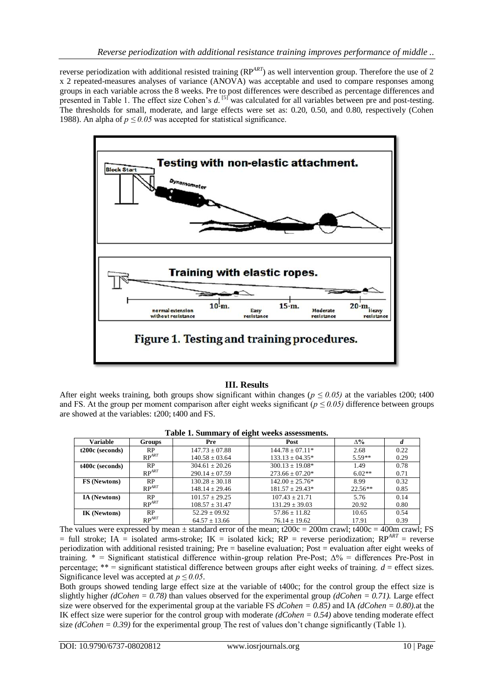reverse periodization with additional resisted training (RP<sup>ART</sup>) as well intervention group. Therefore the use of 2 x 2 repeated-measures analyses of variance (ANOVA) was acceptable and used to compare responses among groups in each variable across the 8 weeks. Pre to post differences were described as percentage differences and presented in Table 1. The effect size Cohen's *d*.<sup>[5]</sup> was calculated for all variables between pre and post-testing. The thresholds for small, moderate, and large effects were set as: 0.20, 0.50, and 0.80, respectively (Cohen 1988). An alpha of  $p \le 0.05$  was accepted for statistical significance.



## **III. Results**

After eight weeks training, both groups show significant within changes ( $p \le 0.05$ ) at the variables t200; t400 and FS. At the group per moment comparison after eight weeks significant ( $p \le 0.05$ ) difference between groups are showed at the variables: t200; t400 and FS.

| <b>Variable</b>     | Groups     | Pre                | Post                 | $\Delta\%$ | a    |
|---------------------|------------|--------------------|----------------------|------------|------|
| t200c (seconds)     | <b>RP</b>  | $147.73 \pm 07.88$ | $144.78 + 07.11*$    | 2.68       | 0.22 |
|                     | $RP^{ART}$ | $140.58 \pm 03.64$ | $133.13 \pm 04.35^*$ | $5.59**$   | 0.29 |
| t400c (seconds)     | <b>RP</b>  | $304.61 + 20.26$   | $300.13 \pm 19.08^*$ | 1.49       | 0.78 |
|                     | $RP^{ART}$ | $290.14 \pm 07.59$ | $273.66 \pm 07.20*$  | $6.02**$   | 0.71 |
| <b>FS</b> (Newtons) | <b>RP</b>  | $130.28 + 30.18$   | $142.00 + 25.76*$    | 8.99       | 0.32 |
|                     | $RP^{ART}$ | $148.14 \pm 29.46$ | $181.57 \pm 29.43*$  | $22.56**$  | 0.85 |
| IA (Newtons)        | <b>RP</b>  | $101.57 + 29.25$   | $107.43 + 21.71$     | 5.76       | 0.14 |
|                     | $RP^{ART}$ | $108.57 \pm 31.47$ | $131.29 \pm 39.03$   | 20.92      | 0.80 |
| <b>IK (Newtons)</b> | <b>RP</b>  | $52.29 \pm 09.92$  | $57.86 \pm 11.82$    | 10.65      | 0.54 |
|                     | $RP^{ART}$ | $64.57 \pm 13.66$  | $76.14 \pm 19.62$    | 17.91      | 0.39 |

**Table 1. Summary of eight weeks assessments.**

The values were expressed by mean  $\pm$  standard error of the mean; t200c = 200m crawl; t400c = 400m crawl; FS  $=$  full stroke; IA  $=$  isolated arms-stroke; IK  $=$  isolated kick; RP  $=$  reverse periodization; RP<sup>ART</sup>  $=$  reverse periodization with additional resisted training; Pre = baseline evaluation; Post = evaluation after eight weeks of training. \* = Significant statistical difference within-group relation Pre-Post; ∆% = differences Pre-Post in percentage;  $**$  = significant statistical difference between groups after eight weeks of training.  $d =$  effect sizes. Significance level was accepted at *p ≤ 0.05*.

Both groups showed tending large effect size at the variable of t400c; for the control group the effect size is slightly higher *(dCohen = 0.78)* than values observed for the experimental group *(dCohen = 0.71)*. Large effect size were observed for the experimental group at the variable FS *dCohen = 0.85)* and IA *(dCohen = 0.80).*at the IK effect size were superior for the control group with moderate *(dCohen = 0.54)* above tending moderate effect size *(dCohen = 0.39)* for the experimental group*.* The rest of values don't change significantly (Table 1).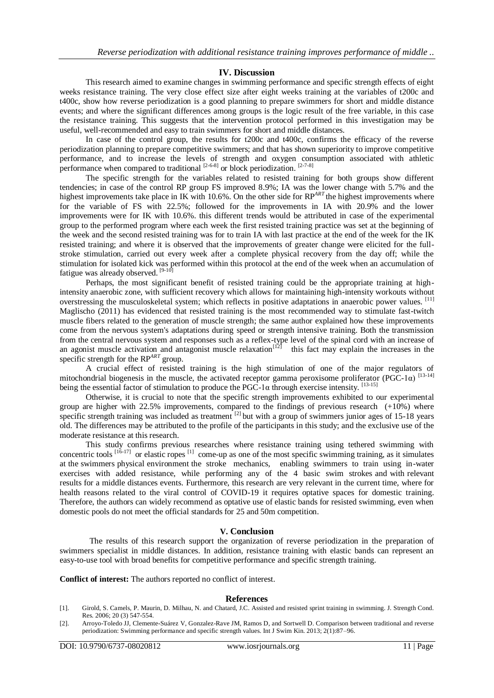#### **IV. Discussion**

This research aimed to examine changes in swimming performance and specific strength effects of eight weeks resistance training. The very close effect size after eight weeks training at the variables of t200c and t400c, show how reverse periodization is a good planning to prepare swimmers for short and middle distance events; and where the significant differences among groups is the logic result of the free variable, in this case the resistance training. This suggests that the intervention protocol performed in this investigation may be useful, well-recommended and easy to train swimmers for short and middle distances.

In case of the control group, the results for t200c and t400c, confirms the efficacy of the reverse periodization planning to prepare competitive swimmers; and that has shown superiority to improve competitive performance, and to increase the levels of strength and oxygen consumption associated with athletic performance when compared to traditional  $[2-6-8]$  or block periodization.  $[2-7-8]$ 

The specific strength for the variables related to resisted training for both groups show different tendencies; in case of the control RP group FS improved 8.9%; IA was the lower change with 5.7% and the highest improvements take place in IK with 10.6%. On the other side for RP<sup>ART</sup> the highest improvements where for the variable of FS with 22.5%; followed for the improvements in IA with 20.9% and the lower improvements were for IK with 10.6%. this different trends would be attributed in case of the experimental group to the performed program where each week the first resisted training practice was set at the beginning of the week and the second resisted training was for to train IA with last practice at the end of the week for the IK resisted training; and where it is observed that the improvements of greater change were elicited for the fullstroke stimulation, carried out every week after a complete physical recovery from the day off; while the stimulation for isolated kick was performed within this protocol at the end of the week when an accumulation of fatigue was already observed.  $[9-10]$ 

Perhaps, the most significant benefit of resisted training could be the appropriate training at highintensity anaerobic zone, with sufficient recovery which allows for maintaining high-intensity workouts without overstressing the musculoskeletal system; which reflects in positive adaptations in anaerobic power values. [11] Maglischo (2011) has evidenced that resisted training is the most recommended way to stimulate fast-twitch muscle fibers related to the generation of muscle strength; the same author explained how these improvements come from the nervous system's adaptations during speed or strength intensive training. Both the transmission from the central nervous system and responses such as a reflex-type level of the spinal cord with an increase of an agonist muscle activation and antagonist muscle relaxation<sup>[12]</sup> this fact may explain the increases in the specific strength for the RP*ART* group.

A crucial effect of resisted training is the high stimulation of one of the major regulators of mitochondrial biogenesis in the muscle, the activated receptor gamma peroxisome proliferator (PGC-1 $\alpha$ ) [13-14] being the essential factor of stimulation to produce the PGC-1α through exercise intensity. [13-15]

Otherwise, it is crucial to note that the specific strength improvements exhibited to our experimental group are higher with  $22.5\%$  improvements, compared to the findings of previous research  $(+10\%)$  where specific strength training was included as treatment  $^{[2]}$  but with a group of swimmers junior ages of 15-18 years old. The differences may be attributed to the profile of the participants in this study; and the exclusive use of the moderate resistance at this research.

This study confirms previous researches where resistance training using tethered swimming with concentric tools  $[16-17]$  or elastic ropes  $[1]$  come-up as one of the most specific swimming training, as it simulates at the swimmers physical environment the stroke mechanics, enabling swimmers to train using in-water exercises with added resistance, while performing any of the 4 basic swim strokes and with relevant results for a middle distances events. Furthermore, this research are very relevant in the current time, where for health reasons related to the viral control of COVID-19 it requires optative spaces for domestic training. Therefore, the authors can widely recommend as optative use of elastic bands for resisted swimming, even when domestic pools do not meet the official standards for 25 and 50m competition.

#### **V. Conclusion**

The results of this research support the organization of reverse periodization in the preparation of swimmers specialist in middle distances. In addition, resistance training with elastic bands can represent an easy-to-use tool with broad benefits for competitive performance and specific strength training.

**Conflict of interest:** The authors reported no conflict of interest.

#### **References**

- [1]. Girold, S. Camels, P. Maurin, D. Milhau, N. and Chatard, J.C. Assisted and resisted sprint training in swimming. J. Strength Cond. Res. 2006; 20 (3) 547-554.
- [2]. Arroyo-Toledo JJ, Clemente-Suárez V, Gonzalez-Rave JM, Ramos D, and Sortwell D. Comparison between traditional and reverse periodization: Swimming performance and specific strength values. Int J Swim Kin. 2013; 2(1):87–96.